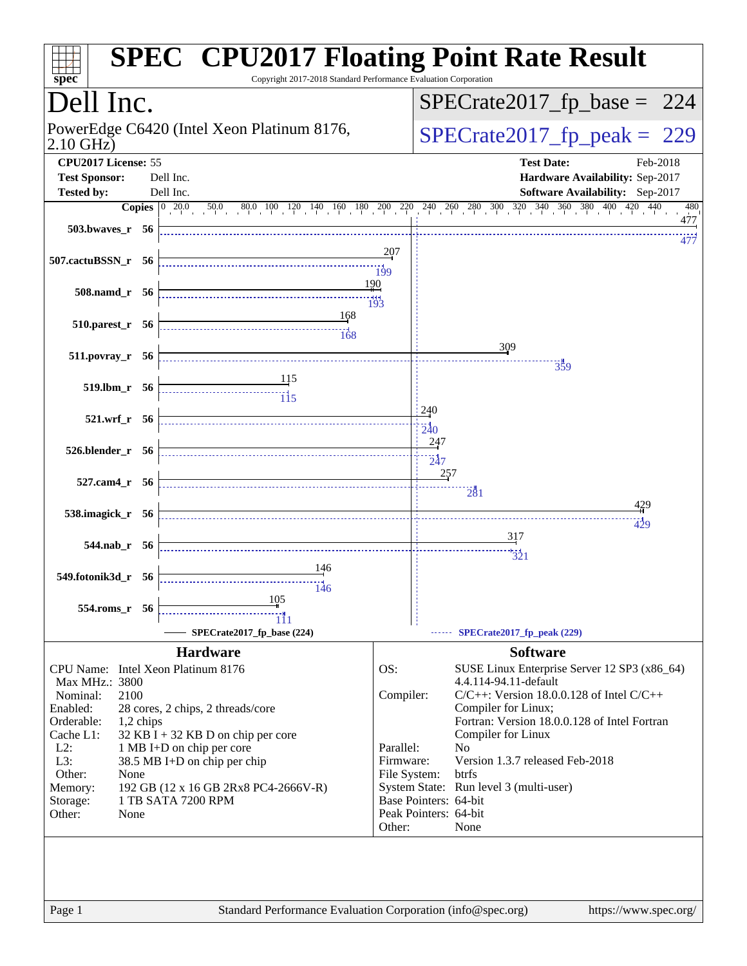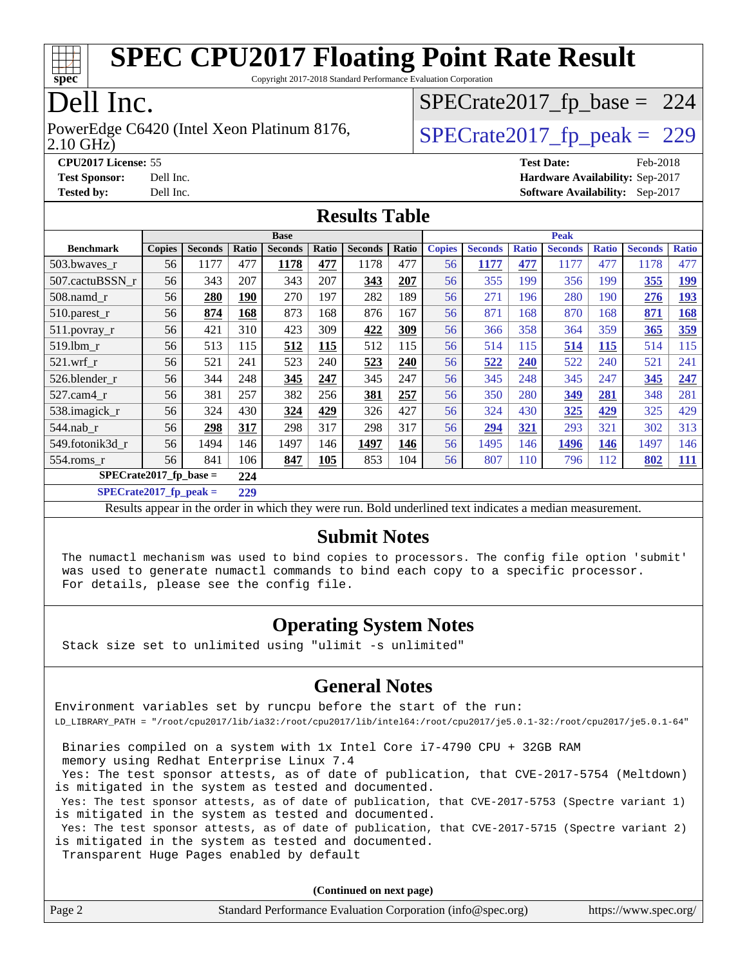

Copyright 2017-2018 Standard Performance Evaluation Corporation

## Dell Inc.

PowerEdge C6420 (Intel Xeon Platinum 8176,  $\vert$  [SPECrate2017\\_fp\\_peak =](http://www.spec.org/auto/cpu2017/Docs/result-fields.html#SPECrate2017fppeak) 229

[SPECrate2017\\_fp\\_base =](http://www.spec.org/auto/cpu2017/Docs/result-fields.html#SPECrate2017fpbase) 224

2.10 GHz)

**[CPU2017 License:](http://www.spec.org/auto/cpu2017/Docs/result-fields.html#CPU2017License)** 55 **[Test Date:](http://www.spec.org/auto/cpu2017/Docs/result-fields.html#TestDate)** Feb-2018 **[Test Sponsor:](http://www.spec.org/auto/cpu2017/Docs/result-fields.html#TestSponsor)** Dell Inc. **[Hardware Availability:](http://www.spec.org/auto/cpu2017/Docs/result-fields.html#HardwareAvailability)** Sep-2017

**[Tested by:](http://www.spec.org/auto/cpu2017/Docs/result-fields.html#Testedby)** Dell Inc. **[Software Availability:](http://www.spec.org/auto/cpu2017/Docs/result-fields.html#SoftwareAvailability)** Sep-2017

#### **[Results Table](http://www.spec.org/auto/cpu2017/Docs/result-fields.html#ResultsTable)**

|                                 | <b>Base</b>   |                |       |                |       | <b>Peak</b>    |       |               |                |              |                |              |                |              |
|---------------------------------|---------------|----------------|-------|----------------|-------|----------------|-------|---------------|----------------|--------------|----------------|--------------|----------------|--------------|
| <b>Benchmark</b>                | <b>Copies</b> | <b>Seconds</b> | Ratio | <b>Seconds</b> | Ratio | <b>Seconds</b> | Ratio | <b>Copies</b> | <b>Seconds</b> | <b>Ratio</b> | <b>Seconds</b> | <b>Ratio</b> | <b>Seconds</b> | <b>Ratio</b> |
| 503.bwayes_r                    | 56            | 1177           | 477   | 1178           | 477   | 1178           | 477   | 56            | 1177           | 477          | 1177           | 477          | 1178           | 477          |
| 507.cactuBSSN r                 | 56            | 343            | 207   | 343            | 207   | 343            | 207   | 56            | 355            | 199          | 356            | 199          | 355            | <u>199</u>   |
| $508$ .namd $_r$                | 56            | 280            | 190   | 270            | 197   | 282            | 189   | 56            | 271            | 196          | 280            | 190          | 276            | 193          |
| 510.parest_r                    | 56            | 874            | 168   | 873            | 168   | 876            | 167   | 56            | 871            | 168          | 870            | 168          | 871            | 168          |
| 511.povray_r                    | 56            | 421            | 310   | 423            | 309   | 422            | 309   | 56            | 366            | 358          | 364            | 359          | 365            | 359          |
| $519.1$ bm r                    | 56            | 513            | 115   | 512            | 115   | 512            | 115   | 56            | 514            | 115          | 514            | 115          | 514            | 115          |
| $521$ .wrf r                    | 56            | 521            | 241   | 523            | 240   | 523            | 240   | 56            | 522            | 240          | 522            | 240          | 521            | 241          |
| 526.blender r                   | 56            | 344            | 248   | 345            | 247   | 345            | 247   | 56            | 345            | 248          | 345            | 247          | 345            | 247          |
| 527.cam4 r                      | 56            | 381            | 257   | 382            | 256   | 381            | 257   | 56            | 350            | 280          | 349            | 281          | 348            | 281          |
| 538.imagick_r                   | 56            | 324            | 430   | 324            | 429   | 326            | 427   | 56            | 324            | 430          | 325            | 429          | 325            | 429          |
| $544$ .nab r                    | 56            | 298            | 317   | 298            | 317   | 298            | 317   | 56            | 294            | 321          | 293            | 321          | 302            | 313          |
| 549.fotonik3d r                 | 56            | 1494           | 146   | 1497           | 146   | 1497           | 146   | 56            | 1495           | 146          | 1496           | 146          | 1497           | 146          |
| 554.roms r                      | 56            | 841            | 106   | 847            | 105   | 853            | 104   | 56            | 807            | 110          | 796            | 112          | 802            | <u>111</u>   |
| SPECrate2017 fp base $=$<br>224 |               |                |       |                |       |                |       |               |                |              |                |              |                |              |

**[SPECrate2017\\_fp\\_peak =](http://www.spec.org/auto/cpu2017/Docs/result-fields.html#SPECrate2017fppeak) 229**

Results appear in the [order in which they were run](http://www.spec.org/auto/cpu2017/Docs/result-fields.html#RunOrder). Bold underlined text [indicates a median measurement](http://www.spec.org/auto/cpu2017/Docs/result-fields.html#Median).

#### **[Submit Notes](http://www.spec.org/auto/cpu2017/Docs/result-fields.html#SubmitNotes)**

 The numactl mechanism was used to bind copies to processors. The config file option 'submit' was used to generate numactl commands to bind each copy to a specific processor. For details, please see the config file.

#### **[Operating System Notes](http://www.spec.org/auto/cpu2017/Docs/result-fields.html#OperatingSystemNotes)**

Stack size set to unlimited using "ulimit -s unlimited"

#### **[General Notes](http://www.spec.org/auto/cpu2017/Docs/result-fields.html#GeneralNotes)**

Environment variables set by runcpu before the start of the run: LD\_LIBRARY\_PATH = "/root/cpu2017/lib/ia32:/root/cpu2017/lib/intel64:/root/cpu2017/je5.0.1-32:/root/cpu2017/je5.0.1-64"

 Binaries compiled on a system with 1x Intel Core i7-4790 CPU + 32GB RAM memory using Redhat Enterprise Linux 7.4

 Yes: The test sponsor attests, as of date of publication, that CVE-2017-5754 (Meltdown) is mitigated in the system as tested and documented.

 Yes: The test sponsor attests, as of date of publication, that CVE-2017-5753 (Spectre variant 1) is mitigated in the system as tested and documented.

 Yes: The test sponsor attests, as of date of publication, that CVE-2017-5715 (Spectre variant 2) is mitigated in the system as tested and documented.

Transparent Huge Pages enabled by default

**(Continued on next page)**

| Page 2 | Standard Performance Evaluation Corporation (info@spec.org) | https://www.spec.org/ |
|--------|-------------------------------------------------------------|-----------------------|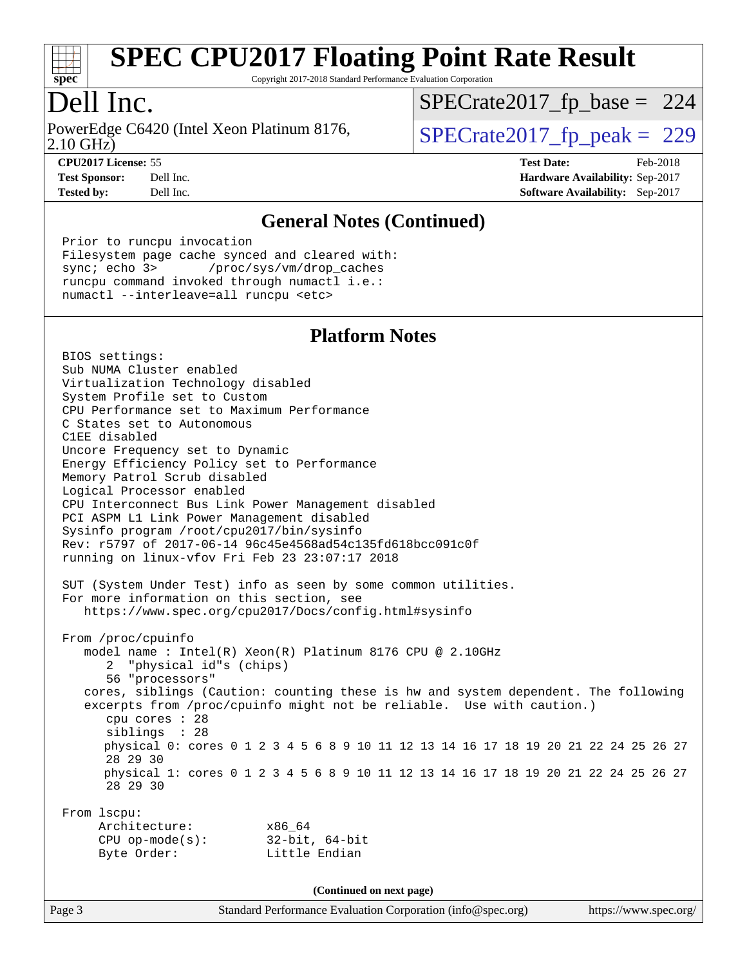

Copyright 2017-2018 Standard Performance Evaluation Corporation

## Dell Inc.

2.10 GHz) PowerEdge C6420 (Intel Xeon Platinum 8176,  $\vert$  [SPECrate2017\\_fp\\_peak =](http://www.spec.org/auto/cpu2017/Docs/result-fields.html#SPECrate2017fppeak) 229

[SPECrate2017\\_fp\\_base =](http://www.spec.org/auto/cpu2017/Docs/result-fields.html#SPECrate2017fpbase) 224

**[Tested by:](http://www.spec.org/auto/cpu2017/Docs/result-fields.html#Testedby)** Dell Inc. **[Software Availability:](http://www.spec.org/auto/cpu2017/Docs/result-fields.html#SoftwareAvailability)** Sep-2017

**[CPU2017 License:](http://www.spec.org/auto/cpu2017/Docs/result-fields.html#CPU2017License)** 55 **[Test Date:](http://www.spec.org/auto/cpu2017/Docs/result-fields.html#TestDate)** Feb-2018 **[Test Sponsor:](http://www.spec.org/auto/cpu2017/Docs/result-fields.html#TestSponsor)** Dell Inc. **[Hardware Availability:](http://www.spec.org/auto/cpu2017/Docs/result-fields.html#HardwareAvailability)** Sep-2017

#### **[General Notes \(Continued\)](http://www.spec.org/auto/cpu2017/Docs/result-fields.html#GeneralNotes)**

 Prior to runcpu invocation Filesystem page cache synced and cleared with: sync; echo 3> /proc/sys/vm/drop\_caches runcpu command invoked through numactl i.e.: numactl --interleave=all runcpu <etc>

#### **[Platform Notes](http://www.spec.org/auto/cpu2017/Docs/result-fields.html#PlatformNotes)**

 BIOS settings: Sub NUMA Cluster enabled Virtualization Technology disabled System Profile set to Custom CPU Performance set to Maximum Performance C States set to Autonomous C1EE disabled Uncore Frequency set to Dynamic Energy Efficiency Policy set to Performance Memory Patrol Scrub disabled Logical Processor enabled CPU Interconnect Bus Link Power Management disabled PCI ASPM L1 Link Power Management disabled Sysinfo program /root/cpu2017/bin/sysinfo Rev: r5797 of 2017-06-14 96c45e4568ad54c135fd618bcc091c0f running on linux-vfov Fri Feb 23 23:07:17 2018 SUT (System Under Test) info as seen by some common utilities. For more information on this section, see <https://www.spec.org/cpu2017/Docs/config.html#sysinfo> From /proc/cpuinfo model name : Intel(R) Xeon(R) Platinum 8176 CPU @ 2.10GHz 2 "physical id"s (chips) 56 "processors" cores, siblings (Caution: counting these is hw and system dependent. The following excerpts from /proc/cpuinfo might not be reliable. Use with caution.) cpu cores : 28 siblings : 28 physical 0: cores 0 1 2 3 4 5 6 8 9 10 11 12 13 14 16 17 18 19 20 21 22 24 25 26 27 28 29 30 physical 1: cores 0 1 2 3 4 5 6 8 9 10 11 12 13 14 16 17 18 19 20 21 22 24 25 26 27 28 29 30 From lscpu: Architecture: x86\_64 CPU op-mode(s): 32-bit, 64-bit Byte Order: Little Endian **(Continued on next page)**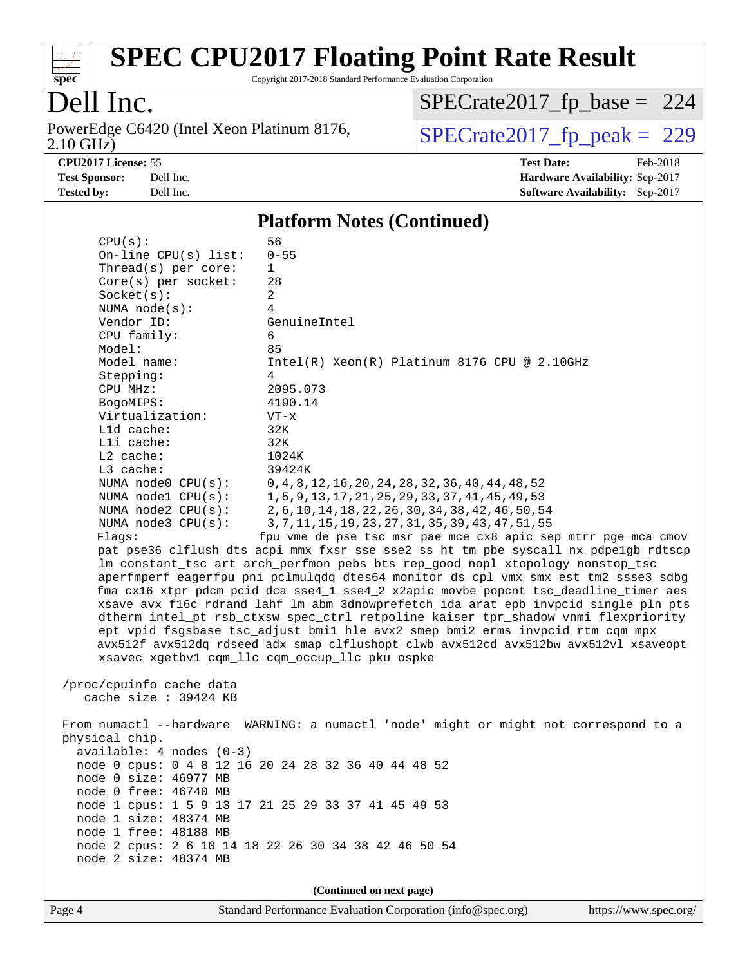

Copyright 2017-2018 Standard Performance Evaluation Corporation

## Dell Inc.

2.10 GHz) PowerEdge C6420 (Intel Xeon Platinum 8176,  $\overline{SPECrate2017\_fp\_peak} = 229$ 

[SPECrate2017\\_fp\\_base =](http://www.spec.org/auto/cpu2017/Docs/result-fields.html#SPECrate2017fpbase) 224

**[Tested by:](http://www.spec.org/auto/cpu2017/Docs/result-fields.html#Testedby)** Dell Inc. **[Software Availability:](http://www.spec.org/auto/cpu2017/Docs/result-fields.html#SoftwareAvailability)** Sep-2017

**[CPU2017 License:](http://www.spec.org/auto/cpu2017/Docs/result-fields.html#CPU2017License)** 55 **[Test Date:](http://www.spec.org/auto/cpu2017/Docs/result-fields.html#TestDate)** Feb-2018 **[Test Sponsor:](http://www.spec.org/auto/cpu2017/Docs/result-fields.html#TestSponsor)** Dell Inc. **[Hardware Availability:](http://www.spec.org/auto/cpu2017/Docs/result-fields.html#HardwareAvailability)** Sep-2017

#### **[Platform Notes \(Continued\)](http://www.spec.org/auto/cpu2017/Docs/result-fields.html#PlatformNotes)**

| CPU(s):                                                                              | 56                                                                                   |  |  |  |
|--------------------------------------------------------------------------------------|--------------------------------------------------------------------------------------|--|--|--|
| On-line CPU(s) list:                                                                 | $0 - 55$                                                                             |  |  |  |
| Thread(s) per core:                                                                  | 1                                                                                    |  |  |  |
| Core(s) per socket:                                                                  | 28                                                                                   |  |  |  |
| Socket(s):                                                                           | 2                                                                                    |  |  |  |
| NUMA $node(s):$                                                                      | 4                                                                                    |  |  |  |
| Vendor ID:                                                                           | GenuineIntel                                                                         |  |  |  |
| CPU family:                                                                          | 6                                                                                    |  |  |  |
| Model:                                                                               | 85                                                                                   |  |  |  |
| Model name:                                                                          | $Intel(R) Xeon(R) Platinum 8176 CPU @ 2.10GHz$                                       |  |  |  |
| Stepping:                                                                            | 4                                                                                    |  |  |  |
| CPU MHz:                                                                             | 2095.073                                                                             |  |  |  |
| BogoMIPS:                                                                            | 4190.14                                                                              |  |  |  |
| Virtualization:                                                                      | $VT - x$                                                                             |  |  |  |
| $L1d$ cache:                                                                         | 32K                                                                                  |  |  |  |
| Lli cache:                                                                           | 32K                                                                                  |  |  |  |
| $L2$ cache:                                                                          | 1024K                                                                                |  |  |  |
| L3 cache:                                                                            | 39424K                                                                               |  |  |  |
| NUMA $node0$ $CPU(s):$                                                               | 0, 4, 8, 12, 16, 20, 24, 28, 32, 36, 40, 44, 48, 52                                  |  |  |  |
| NUMA nodel CPU(s):                                                                   | 1, 5, 9, 13, 17, 21, 25, 29, 33, 37, 41, 45, 49, 53                                  |  |  |  |
| NUMA $node2$ $CPU(s):$                                                               | 2, 6, 10, 14, 18, 22, 26, 30, 34, 38, 42, 46, 50, 54                                 |  |  |  |
| NUMA $node3$ $CPU(s):$                                                               | 3, 7, 11, 15, 19, 23, 27, 31, 35, 39, 43, 47, 51, 55                                 |  |  |  |
| Flags:                                                                               | fpu vme de pse tsc msr pae mce cx8 apic sep mtrr pge mca cmov                        |  |  |  |
|                                                                                      | pat pse36 clflush dts acpi mmx fxsr sse sse2 ss ht tm pbe syscall nx pdpe1gb rdtscp  |  |  |  |
|                                                                                      | lm constant_tsc art arch_perfmon pebs bts rep_good nopl xtopology nonstop_tsc        |  |  |  |
|                                                                                      | aperfmperf eagerfpu pni pclmulqdq dtes64 monitor ds_cpl vmx smx est tm2 ssse3 sdbg   |  |  |  |
|                                                                                      | fma cx16 xtpr pdcm pcid dca sse4_1 sse4_2 x2apic movbe popcnt tsc_deadline_timer aes |  |  |  |
|                                                                                      | xsave avx f16c rdrand lahf_lm abm 3dnowprefetch ida arat epb invpcid_single pln pts  |  |  |  |
|                                                                                      | dtherm intel_pt rsb_ctxsw spec_ctrl retpoline kaiser tpr_shadow vnmi flexpriority    |  |  |  |
|                                                                                      | ept vpid fsgsbase tsc_adjust bmil hle avx2 smep bmi2 erms invpcid rtm cqm mpx        |  |  |  |
|                                                                                      | avx512f avx512dq rdseed adx smap clflushopt clwb avx512cd avx512bw avx512vl xsaveopt |  |  |  |
|                                                                                      | xsavec xgetbv1 cqm_llc cqm_occup_llc pku ospke                                       |  |  |  |
|                                                                                      |                                                                                      |  |  |  |
| /proc/cpuinfo cache data                                                             |                                                                                      |  |  |  |
| cache size : 39424 KB                                                                |                                                                                      |  |  |  |
|                                                                                      |                                                                                      |  |  |  |
| From numactl --hardware WARNING: a numactl 'node' might or might not correspond to a |                                                                                      |  |  |  |
| physical chip.                                                                       |                                                                                      |  |  |  |
| $available: 4 nodes (0-3)$                                                           |                                                                                      |  |  |  |
| node 0 cpus: 0 4 8 12 16 20 24 28 32 36 40 44 48 52                                  |                                                                                      |  |  |  |
| node 0 size: 46977 MB                                                                |                                                                                      |  |  |  |
| node 0 free: 46740 MB                                                                |                                                                                      |  |  |  |
| node 1 cpus: 1 5 9 13 17 21 25 29 33 37 41 45 49 53                                  |                                                                                      |  |  |  |
| node 1 size: 48374 MB                                                                |                                                                                      |  |  |  |
| node 1 free: 48188 MB                                                                |                                                                                      |  |  |  |
| node 2 cpus: 2 6 10 14 18 22 26 30 34 38 42 46 50 54                                 |                                                                                      |  |  |  |
| node 2 size: 48374 MB                                                                |                                                                                      |  |  |  |
|                                                                                      |                                                                                      |  |  |  |
| (Continued on next page)                                                             |                                                                                      |  |  |  |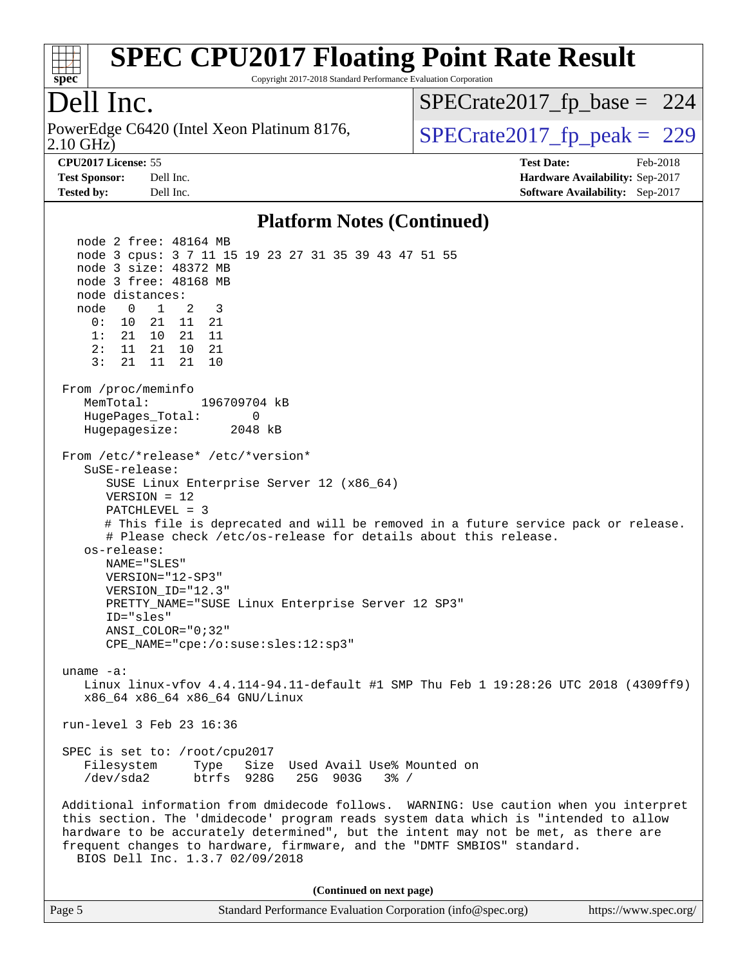

Copyright 2017-2018 Standard Performance Evaluation Corporation

### Dell Inc.

2.10 GHz) PowerEdge C6420 (Intel Xeon Platinum 8176,  $\vert$  [SPECrate2017\\_fp\\_peak =](http://www.spec.org/auto/cpu2017/Docs/result-fields.html#SPECrate2017fppeak) 229

[SPECrate2017\\_fp\\_base =](http://www.spec.org/auto/cpu2017/Docs/result-fields.html#SPECrate2017fpbase) 224

**[Tested by:](http://www.spec.org/auto/cpu2017/Docs/result-fields.html#Testedby)** Dell Inc. **[Software Availability:](http://www.spec.org/auto/cpu2017/Docs/result-fields.html#SoftwareAvailability)** Sep-2017

**[CPU2017 License:](http://www.spec.org/auto/cpu2017/Docs/result-fields.html#CPU2017License)** 55 **[Test Date:](http://www.spec.org/auto/cpu2017/Docs/result-fields.html#TestDate)** Feb-2018 **[Test Sponsor:](http://www.spec.org/auto/cpu2017/Docs/result-fields.html#TestSponsor)** Dell Inc. **[Hardware Availability:](http://www.spec.org/auto/cpu2017/Docs/result-fields.html#HardwareAvailability)** Sep-2017

#### **[Platform Notes \(Continued\)](http://www.spec.org/auto/cpu2017/Docs/result-fields.html#PlatformNotes)**

 node 2 free: 48164 MB node 3 cpus: 3 7 11 15 19 23 27 31 35 39 43 47 51 55 node 3 size: 48372 MB node 3 free: 48168 MB node distances: node 0 1 2 3 0: 10 21 11 21 1: 21 10 21 11 2: 11 21 10 21 3: 21 11 21 10 From /proc/meminfo MemTotal: 196709704 kB HugePages\_Total: 0 Hugepagesize: 2048 kB From /etc/\*release\* /etc/\*version\* SuSE-release: SUSE Linux Enterprise Server 12 (x86\_64) VERSION = 12 PATCHLEVEL = 3 # This file is deprecated and will be removed in a future service pack or release. # Please check /etc/os-release for details about this release. os-release: NAME="SLES" VERSION="12-SP3" VERSION\_ID="12.3" PRETTY\_NAME="SUSE Linux Enterprise Server 12 SP3" ID="sles" ANSI\_COLOR="0;32" CPE\_NAME="cpe:/o:suse:sles:12:sp3" uname -a: Linux linux-vfov 4.4.114-94.11-default #1 SMP Thu Feb 1 19:28:26 UTC 2018 (4309ff9) x86\_64 x86\_64 x86\_64 GNU/Linux run-level 3 Feb 23 16:36 SPEC is set to: /root/cpu2017 Filesystem Type Size Used Avail Use% Mounted on /dev/sda2 btrfs 928G 25G 903G 3% / Additional information from dmidecode follows. WARNING: Use caution when you interpret this section. The 'dmidecode' program reads system data which is "intended to allow hardware to be accurately determined", but the intent may not be met, as there are frequent changes to hardware, firmware, and the "DMTF SMBIOS" standard. BIOS Dell Inc. 1.3.7 02/09/2018 **(Continued on next page)**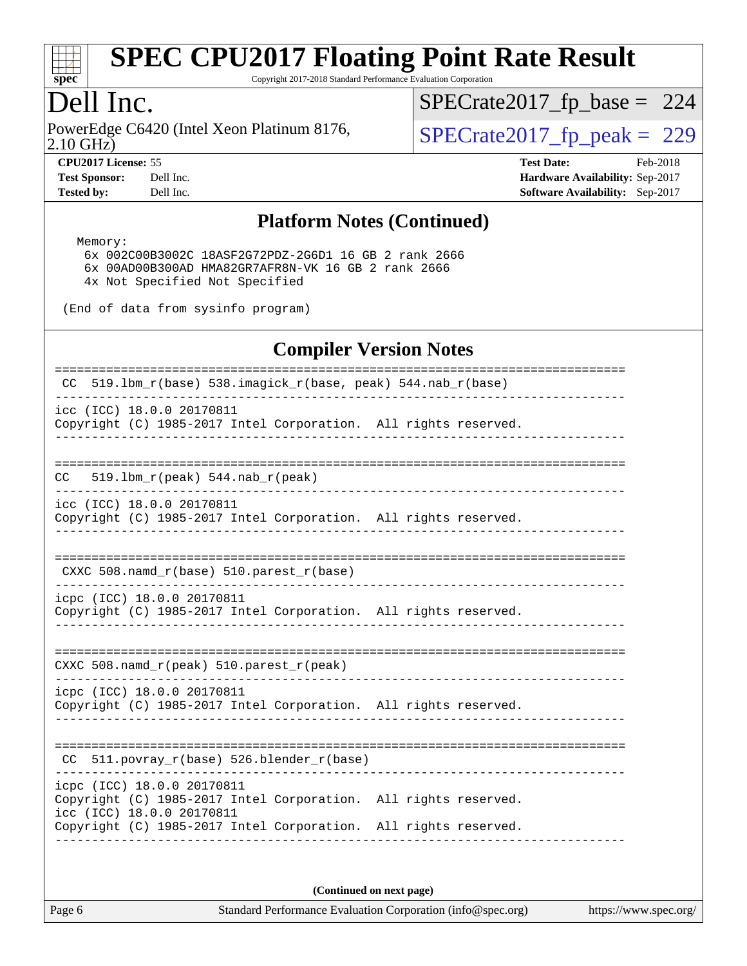

Copyright 2017-2018 Standard Performance Evaluation Corporation

## Dell Inc.

2.10 GHz) PowerEdge C6420 (Intel Xeon Platinum 8176,  $\vert$  [SPECrate2017\\_fp\\_peak =](http://www.spec.org/auto/cpu2017/Docs/result-fields.html#SPECrate2017fppeak) 229

[SPECrate2017\\_fp\\_base =](http://www.spec.org/auto/cpu2017/Docs/result-fields.html#SPECrate2017fpbase) 224

**[CPU2017 License:](http://www.spec.org/auto/cpu2017/Docs/result-fields.html#CPU2017License)** 55 **[Test Date:](http://www.spec.org/auto/cpu2017/Docs/result-fields.html#TestDate)** Feb-2018 **[Test Sponsor:](http://www.spec.org/auto/cpu2017/Docs/result-fields.html#TestSponsor)** Dell Inc. **[Hardware Availability:](http://www.spec.org/auto/cpu2017/Docs/result-fields.html#HardwareAvailability)** Sep-2017 **[Tested by:](http://www.spec.org/auto/cpu2017/Docs/result-fields.html#Testedby)** Dell Inc. **[Software Availability:](http://www.spec.org/auto/cpu2017/Docs/result-fields.html#SoftwareAvailability)** Sep-2017

#### **[Platform Notes \(Continued\)](http://www.spec.org/auto/cpu2017/Docs/result-fields.html#PlatformNotes)**

Memory:

 6x 002C00B3002C 18ASF2G72PDZ-2G6D1 16 GB 2 rank 2666 6x 00AD00B300AD HMA82GR7AFR8N-VK 16 GB 2 rank 2666 4x Not Specified Not Specified

(End of data from sysinfo program)

### **[Compiler Version Notes](http://www.spec.org/auto/cpu2017/Docs/result-fields.html#CompilerVersionNotes)**

| 519.1bm_r(base) 538.imagick_r(base, peak) 544.nab_r(base)<br>CC.                                                                                                                              |  |
|-----------------------------------------------------------------------------------------------------------------------------------------------------------------------------------------------|--|
| icc (ICC) 18.0.0 20170811<br>Copyright (C) 1985-2017 Intel Corporation. All rights reserved.                                                                                                  |  |
| CC<br>519.1bm $r(\text{peak})$ 544.nab $r(\text{peak})$                                                                                                                                       |  |
| icc (ICC) 18.0.0 20170811<br>Copyright (C) 1985-2017 Intel Corporation. All rights reserved.                                                                                                  |  |
| CXXC 508. namd $r(base)$ 510. parest $r(base)$                                                                                                                                                |  |
| icpc (ICC) 18.0.0 20170811<br>Copyright (C) 1985-2017 Intel Corporation. All rights reserved.                                                                                                 |  |
| $CXXC$ 508.namd $r(\text{peak})$ 510.parest $r(\text{peak})$                                                                                                                                  |  |
| icpc (ICC) 18.0.0 20170811<br>Copyright (C) 1985-2017 Intel Corporation. All rights reserved.                                                                                                 |  |
| 511.povray_r(base) 526.blender_r(base)<br>CC                                                                                                                                                  |  |
| icpc (ICC) 18.0.0 20170811<br>Copyright (C) 1985-2017 Intel Corporation. All rights reserved.<br>icc (ICC) 18.0.0 20170811<br>Copyright (C) 1985-2017 Intel Corporation. All rights reserved. |  |
|                                                                                                                                                                                               |  |

**(Continued on next page)**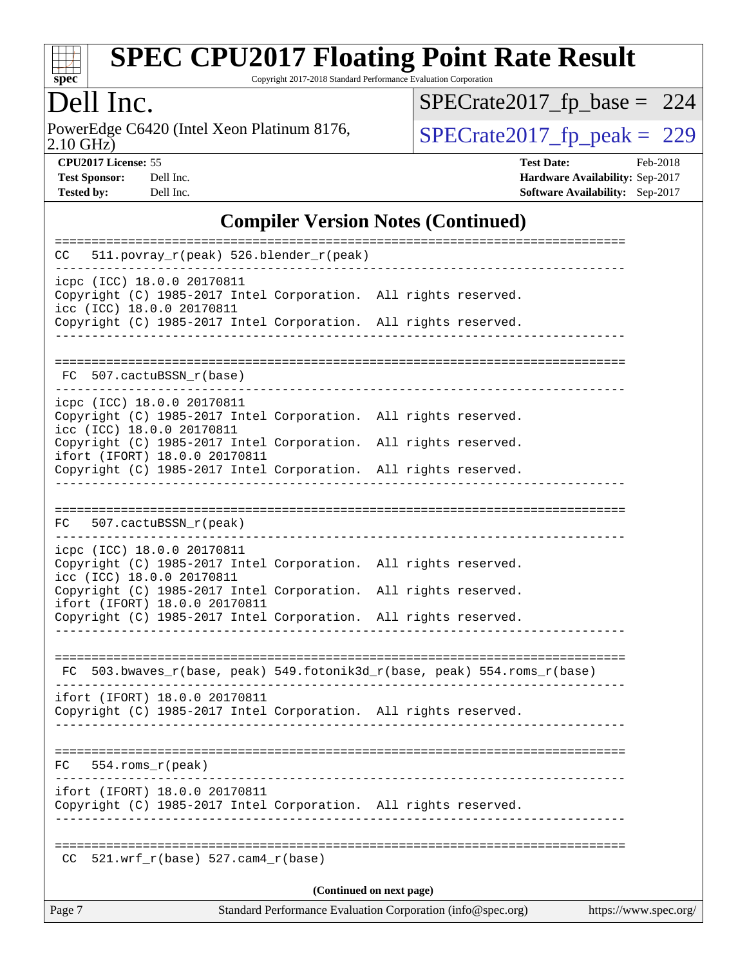

Copyright 2017-2018 Standard Performance Evaluation Corporation

# Dell Inc.

2.10 GHz) PowerEdge C6420 (Intel Xeon Platinum 8176,  $\overline{SPECrate2017\_fp\_peak} = 229$ 

[SPECrate2017\\_fp\\_base =](http://www.spec.org/auto/cpu2017/Docs/result-fields.html#SPECrate2017fpbase) 224

**[CPU2017 License:](http://www.spec.org/auto/cpu2017/Docs/result-fields.html#CPU2017License)** 55 **[Test Date:](http://www.spec.org/auto/cpu2017/Docs/result-fields.html#TestDate)** Feb-2018 **[Test Sponsor:](http://www.spec.org/auto/cpu2017/Docs/result-fields.html#TestSponsor)** Dell Inc. **[Hardware Availability:](http://www.spec.org/auto/cpu2017/Docs/result-fields.html#HardwareAvailability)** Sep-2017 **[Tested by:](http://www.spec.org/auto/cpu2017/Docs/result-fields.html#Testedby)** Dell Inc. **[Software Availability:](http://www.spec.org/auto/cpu2017/Docs/result-fields.html#SoftwareAvailability)** Sep-2017

#### **[Compiler Version Notes \(Continued\)](http://www.spec.org/auto/cpu2017/Docs/result-fields.html#CompilerVersionNotes)**

| CC.                                                     | 511.povray_r(peak) 526.blender_r(peak)     |                                                                          |                       |
|---------------------------------------------------------|--------------------------------------------|--------------------------------------------------------------------------|-----------------------|
| icpc (ICC) 18.0.0 20170811<br>icc (ICC) 18.0.0 20170811 |                                            | Copyright (C) 1985-2017 Intel Corporation. All rights reserved.          |                       |
|                                                         |                                            | Copyright (C) 1985-2017 Intel Corporation. All rights reserved.          |                       |
| FC 507.cactuBSSN_r(base)                                |                                            |                                                                          |                       |
| icpc (ICC) 18.0.0 20170811<br>icc (ICC) 18.0.0 20170811 |                                            | Copyright (C) 1985-2017 Intel Corporation. All rights reserved.          |                       |
| ifort (IFORT) 18.0.0 20170811                           | Copyright (C) 1985-2017 Intel Corporation. | All rights reserved.                                                     |                       |
|                                                         |                                            | Copyright (C) 1985-2017 Intel Corporation. All rights reserved.          |                       |
|                                                         |                                            |                                                                          |                       |
| 507.cactuBSSN_r(peak)<br>FC                             |                                            |                                                                          |                       |
| icpc (ICC) 18.0.0 20170811<br>icc (ICC) 18.0.0 20170811 |                                            | Copyright (C) 1985-2017 Intel Corporation. All rights reserved.          |                       |
| ifort (IFORT) 18.0.0 20170811                           | Copyright (C) 1985-2017 Intel Corporation. | All rights reserved.                                                     |                       |
|                                                         |                                            | Copyright (C) 1985-2017 Intel Corporation. All rights reserved.          |                       |
|                                                         |                                            | FC 503.bwaves_r(base, peak) 549.fotonik3d_r(base, peak) 554.roms_r(base) |                       |
| ifort (IFORT) 18.0.0 20170811                           |                                            | Copyright (C) 1985-2017 Intel Corporation. All rights reserved.          |                       |
| 554.roms_r(peak)<br>FC                                  |                                            |                                                                          |                       |
| ifort (IFORT) 18.0.0 20170811                           |                                            | Copyright (C) 1985-2017 Intel Corporation. All rights reserved.          |                       |
| CC.                                                     | $521.wrf_r(base) 527.cam4_r(base)$         | -----------------------------------                                      |                       |
|                                                         |                                            | (Continued on next page)                                                 |                       |
| Page 7                                                  |                                            | Standard Performance Evaluation Corporation (info@spec.org)              | https://www.spec.org/ |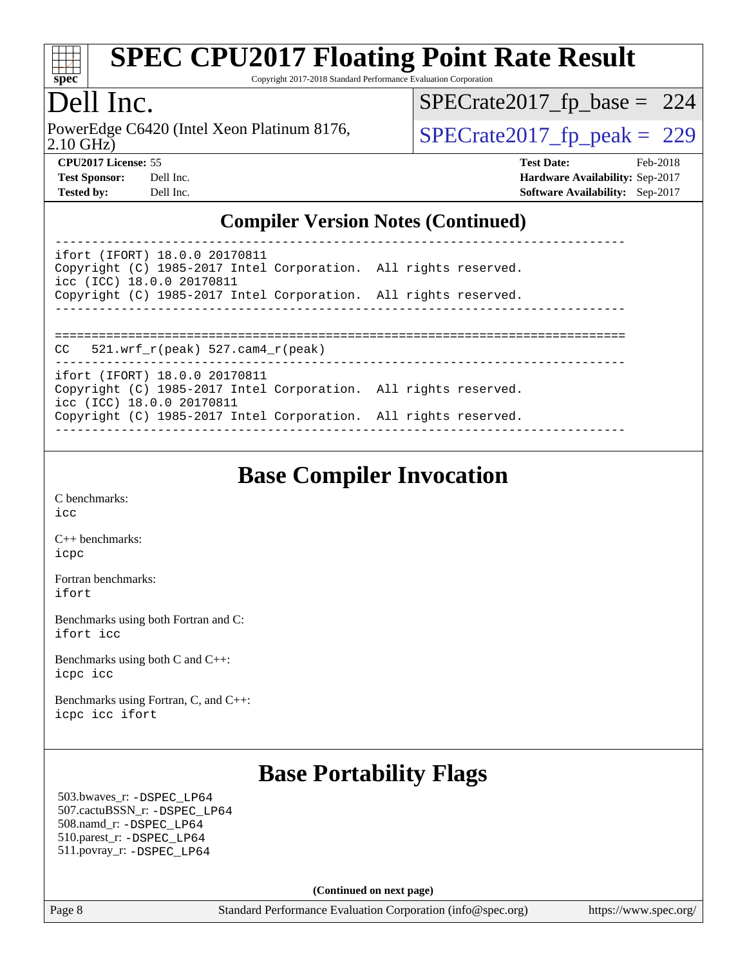

Copyright 2017-2018 Standard Performance Evaluation Corporation

## Dell Inc.

2.10 GHz) PowerEdge C6420 (Intel Xeon Platinum 8176,  $SPECrate2017_fp\_peak = 229$ 

[SPECrate2017\\_fp\\_base =](http://www.spec.org/auto/cpu2017/Docs/result-fields.html#SPECrate2017fpbase) 224

**[CPU2017 License:](http://www.spec.org/auto/cpu2017/Docs/result-fields.html#CPU2017License)** 55 **[Test Date:](http://www.spec.org/auto/cpu2017/Docs/result-fields.html#TestDate)** Feb-2018 **[Test Sponsor:](http://www.spec.org/auto/cpu2017/Docs/result-fields.html#TestSponsor)** Dell Inc. **[Hardware Availability:](http://www.spec.org/auto/cpu2017/Docs/result-fields.html#HardwareAvailability)** Sep-2017 **[Tested by:](http://www.spec.org/auto/cpu2017/Docs/result-fields.html#Testedby)** Dell Inc. **[Software Availability:](http://www.spec.org/auto/cpu2017/Docs/result-fields.html#SoftwareAvailability)** Sep-2017

#### **[Compiler Version Notes \(Continued\)](http://www.spec.org/auto/cpu2017/Docs/result-fields.html#CompilerVersionNotes)**

| ifort (IFORT) 18.0.0 20170811<br>Copyright (C) 1985-2017 Intel Corporation. All rights reserved.<br>icc (ICC) 18.0.0 20170811 |  |
|-------------------------------------------------------------------------------------------------------------------------------|--|
| Copyright (C) 1985-2017 Intel Corporation. All rights reserved.                                                               |  |
|                                                                                                                               |  |
| $CC = 521.wrf_r(peak) 527.cam4_r(peak)$                                                                                       |  |
| ifort (IFORT) 18.0.0 20170811<br>Copyright (C) 1985-2017 Intel Corporation. All rights reserved.<br>icc (ICC) 18.0.0 20170811 |  |
| Copyright (C) 1985-2017 Intel Corporation. All rights reserved.                                                               |  |

## **[Base Compiler Invocation](http://www.spec.org/auto/cpu2017/Docs/result-fields.html#BaseCompilerInvocation)**

[C benchmarks](http://www.spec.org/auto/cpu2017/Docs/result-fields.html#Cbenchmarks): [icc](http://www.spec.org/cpu2017/results/res2018q1/cpu2017-20180305-03820.flags.html#user_CCbase_intel_icc_18.0_66fc1ee009f7361af1fbd72ca7dcefbb700085f36577c54f309893dd4ec40d12360134090235512931783d35fd58c0460139e722d5067c5574d8eaf2b3e37e92)

[C++ benchmarks:](http://www.spec.org/auto/cpu2017/Docs/result-fields.html#CXXbenchmarks) [icpc](http://www.spec.org/cpu2017/results/res2018q1/cpu2017-20180305-03820.flags.html#user_CXXbase_intel_icpc_18.0_c510b6838c7f56d33e37e94d029a35b4a7bccf4766a728ee175e80a419847e808290a9b78be685c44ab727ea267ec2f070ec5dc83b407c0218cded6866a35d07)

[Fortran benchmarks](http://www.spec.org/auto/cpu2017/Docs/result-fields.html#Fortranbenchmarks): [ifort](http://www.spec.org/cpu2017/results/res2018q1/cpu2017-20180305-03820.flags.html#user_FCbase_intel_ifort_18.0_8111460550e3ca792625aed983ce982f94888b8b503583aa7ba2b8303487b4d8a21a13e7191a45c5fd58ff318f48f9492884d4413fa793fd88dd292cad7027ca)

[Benchmarks using both Fortran and C](http://www.spec.org/auto/cpu2017/Docs/result-fields.html#BenchmarksusingbothFortranandC): [ifort](http://www.spec.org/cpu2017/results/res2018q1/cpu2017-20180305-03820.flags.html#user_CC_FCbase_intel_ifort_18.0_8111460550e3ca792625aed983ce982f94888b8b503583aa7ba2b8303487b4d8a21a13e7191a45c5fd58ff318f48f9492884d4413fa793fd88dd292cad7027ca) [icc](http://www.spec.org/cpu2017/results/res2018q1/cpu2017-20180305-03820.flags.html#user_CC_FCbase_intel_icc_18.0_66fc1ee009f7361af1fbd72ca7dcefbb700085f36577c54f309893dd4ec40d12360134090235512931783d35fd58c0460139e722d5067c5574d8eaf2b3e37e92)

[Benchmarks using both C and C++](http://www.spec.org/auto/cpu2017/Docs/result-fields.html#BenchmarksusingbothCandCXX): [icpc](http://www.spec.org/cpu2017/results/res2018q1/cpu2017-20180305-03820.flags.html#user_CC_CXXbase_intel_icpc_18.0_c510b6838c7f56d33e37e94d029a35b4a7bccf4766a728ee175e80a419847e808290a9b78be685c44ab727ea267ec2f070ec5dc83b407c0218cded6866a35d07) [icc](http://www.spec.org/cpu2017/results/res2018q1/cpu2017-20180305-03820.flags.html#user_CC_CXXbase_intel_icc_18.0_66fc1ee009f7361af1fbd72ca7dcefbb700085f36577c54f309893dd4ec40d12360134090235512931783d35fd58c0460139e722d5067c5574d8eaf2b3e37e92)

[Benchmarks using Fortran, C, and C++:](http://www.spec.org/auto/cpu2017/Docs/result-fields.html#BenchmarksusingFortranCandCXX) [icpc](http://www.spec.org/cpu2017/results/res2018q1/cpu2017-20180305-03820.flags.html#user_CC_CXX_FCbase_intel_icpc_18.0_c510b6838c7f56d33e37e94d029a35b4a7bccf4766a728ee175e80a419847e808290a9b78be685c44ab727ea267ec2f070ec5dc83b407c0218cded6866a35d07) [icc](http://www.spec.org/cpu2017/results/res2018q1/cpu2017-20180305-03820.flags.html#user_CC_CXX_FCbase_intel_icc_18.0_66fc1ee009f7361af1fbd72ca7dcefbb700085f36577c54f309893dd4ec40d12360134090235512931783d35fd58c0460139e722d5067c5574d8eaf2b3e37e92) [ifort](http://www.spec.org/cpu2017/results/res2018q1/cpu2017-20180305-03820.flags.html#user_CC_CXX_FCbase_intel_ifort_18.0_8111460550e3ca792625aed983ce982f94888b8b503583aa7ba2b8303487b4d8a21a13e7191a45c5fd58ff318f48f9492884d4413fa793fd88dd292cad7027ca)

# **[Base Portability Flags](http://www.spec.org/auto/cpu2017/Docs/result-fields.html#BasePortabilityFlags)**

 503.bwaves\_r: [-DSPEC\\_LP64](http://www.spec.org/cpu2017/results/res2018q1/cpu2017-20180305-03820.flags.html#suite_basePORTABILITY503_bwaves_r_DSPEC_LP64) 507.cactuBSSN\_r: [-DSPEC\\_LP64](http://www.spec.org/cpu2017/results/res2018q1/cpu2017-20180305-03820.flags.html#suite_basePORTABILITY507_cactuBSSN_r_DSPEC_LP64) 508.namd\_r: [-DSPEC\\_LP64](http://www.spec.org/cpu2017/results/res2018q1/cpu2017-20180305-03820.flags.html#suite_basePORTABILITY508_namd_r_DSPEC_LP64) 510.parest\_r: [-DSPEC\\_LP64](http://www.spec.org/cpu2017/results/res2018q1/cpu2017-20180305-03820.flags.html#suite_basePORTABILITY510_parest_r_DSPEC_LP64) 511.povray\_r: [-DSPEC\\_LP64](http://www.spec.org/cpu2017/results/res2018q1/cpu2017-20180305-03820.flags.html#suite_basePORTABILITY511_povray_r_DSPEC_LP64)

**(Continued on next page)**

Page 8 Standard Performance Evaluation Corporation [\(info@spec.org\)](mailto:info@spec.org) <https://www.spec.org/>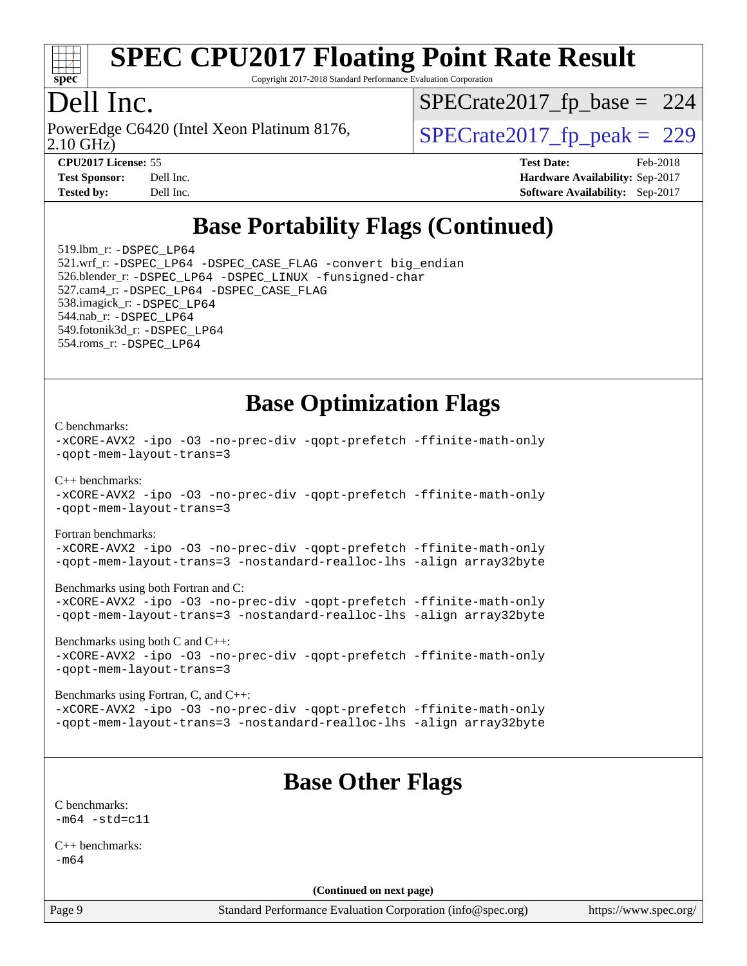

Copyright 2017-2018 Standard Performance Evaluation Corporation

## Dell Inc.

2.10 GHz) PowerEdge C6420 (Intel Xeon Platinum 8176,  $\vert$  [SPECrate2017\\_fp\\_peak =](http://www.spec.org/auto/cpu2017/Docs/result-fields.html#SPECrate2017fppeak) 229

[SPECrate2017\\_fp\\_base =](http://www.spec.org/auto/cpu2017/Docs/result-fields.html#SPECrate2017fpbase) 224

**[Tested by:](http://www.spec.org/auto/cpu2017/Docs/result-fields.html#Testedby)** Dell Inc. **[Software Availability:](http://www.spec.org/auto/cpu2017/Docs/result-fields.html#SoftwareAvailability)** Sep-2017

**[CPU2017 License:](http://www.spec.org/auto/cpu2017/Docs/result-fields.html#CPU2017License)** 55 **[Test Date:](http://www.spec.org/auto/cpu2017/Docs/result-fields.html#TestDate)** Feb-2018 **[Test Sponsor:](http://www.spec.org/auto/cpu2017/Docs/result-fields.html#TestSponsor)** Dell Inc. **[Hardware Availability:](http://www.spec.org/auto/cpu2017/Docs/result-fields.html#HardwareAvailability)** Sep-2017

# **[Base Portability Flags \(Continued\)](http://www.spec.org/auto/cpu2017/Docs/result-fields.html#BasePortabilityFlags)**

 519.lbm\_r: [-DSPEC\\_LP64](http://www.spec.org/cpu2017/results/res2018q1/cpu2017-20180305-03820.flags.html#suite_basePORTABILITY519_lbm_r_DSPEC_LP64) 521.wrf\_r: [-DSPEC\\_LP64](http://www.spec.org/cpu2017/results/res2018q1/cpu2017-20180305-03820.flags.html#suite_basePORTABILITY521_wrf_r_DSPEC_LP64) [-DSPEC\\_CASE\\_FLAG](http://www.spec.org/cpu2017/results/res2018q1/cpu2017-20180305-03820.flags.html#b521.wrf_r_baseCPORTABILITY_DSPEC_CASE_FLAG) [-convert big\\_endian](http://www.spec.org/cpu2017/results/res2018q1/cpu2017-20180305-03820.flags.html#user_baseFPORTABILITY521_wrf_r_convert_big_endian_c3194028bc08c63ac5d04de18c48ce6d347e4e562e8892b8bdbdc0214820426deb8554edfa529a3fb25a586e65a3d812c835984020483e7e73212c4d31a38223) 526.blender\_r: [-DSPEC\\_LP64](http://www.spec.org/cpu2017/results/res2018q1/cpu2017-20180305-03820.flags.html#suite_basePORTABILITY526_blender_r_DSPEC_LP64) [-DSPEC\\_LINUX](http://www.spec.org/cpu2017/results/res2018q1/cpu2017-20180305-03820.flags.html#b526.blender_r_baseCPORTABILITY_DSPEC_LINUX) [-funsigned-char](http://www.spec.org/cpu2017/results/res2018q1/cpu2017-20180305-03820.flags.html#user_baseCPORTABILITY526_blender_r_force_uchar_40c60f00ab013830e2dd6774aeded3ff59883ba5a1fc5fc14077f794d777847726e2a5858cbc7672e36e1b067e7e5c1d9a74f7176df07886a243d7cc18edfe67) 527.cam4\_r: [-DSPEC\\_LP64](http://www.spec.org/cpu2017/results/res2018q1/cpu2017-20180305-03820.flags.html#suite_basePORTABILITY527_cam4_r_DSPEC_LP64) [-DSPEC\\_CASE\\_FLAG](http://www.spec.org/cpu2017/results/res2018q1/cpu2017-20180305-03820.flags.html#b527.cam4_r_baseCPORTABILITY_DSPEC_CASE_FLAG) 538.imagick\_r: [-DSPEC\\_LP64](http://www.spec.org/cpu2017/results/res2018q1/cpu2017-20180305-03820.flags.html#suite_basePORTABILITY538_imagick_r_DSPEC_LP64) 544.nab\_r: [-DSPEC\\_LP64](http://www.spec.org/cpu2017/results/res2018q1/cpu2017-20180305-03820.flags.html#suite_basePORTABILITY544_nab_r_DSPEC_LP64) 549.fotonik3d\_r: [-DSPEC\\_LP64](http://www.spec.org/cpu2017/results/res2018q1/cpu2017-20180305-03820.flags.html#suite_basePORTABILITY549_fotonik3d_r_DSPEC_LP64) 554.roms\_r: [-DSPEC\\_LP64](http://www.spec.org/cpu2017/results/res2018q1/cpu2017-20180305-03820.flags.html#suite_basePORTABILITY554_roms_r_DSPEC_LP64)

**[Base Optimization Flags](http://www.spec.org/auto/cpu2017/Docs/result-fields.html#BaseOptimizationFlags)**

[C benchmarks](http://www.spec.org/auto/cpu2017/Docs/result-fields.html#Cbenchmarks):

```
-xCORE-AVX2 -ipo -O3 -no-prec-div -qopt-prefetch -ffinite-math-only
-qopt-mem-layout-trans=3
C++ benchmarks: 
-xCORE-AVX2 -ipo -O3 -no-prec-div -qopt-prefetch -ffinite-math-only
-qopt-mem-layout-trans=3
Fortran benchmarks: 
-xCORE-AVX2 -ipo -O3 -no-prec-div -qopt-prefetch -ffinite-math-only
-qopt-mem-layout-trans=3 -nostandard-realloc-lhs -align array32byte
Benchmarks using both Fortran and C: 
-xCORE-AVX2 -ipo -O3 -no-prec-div -qopt-prefetch -ffinite-math-only
-qopt-mem-layout-trans=3 -nostandard-realloc-lhs -align array32byte
Benchmarks using both C and C++: 
-xCORE-AVX2 -ipo -O3 -no-prec-div -qopt-prefetch -ffinite-math-only
-qopt-mem-layout-trans=3
Benchmarks using Fortran, C, and C++:
```
[-xCORE-AVX2](http://www.spec.org/cpu2017/results/res2018q1/cpu2017-20180305-03820.flags.html#user_CC_CXX_FCbase_f-xCORE-AVX2) [-ipo](http://www.spec.org/cpu2017/results/res2018q1/cpu2017-20180305-03820.flags.html#user_CC_CXX_FCbase_f-ipo) [-O3](http://www.spec.org/cpu2017/results/res2018q1/cpu2017-20180305-03820.flags.html#user_CC_CXX_FCbase_f-O3) [-no-prec-div](http://www.spec.org/cpu2017/results/res2018q1/cpu2017-20180305-03820.flags.html#user_CC_CXX_FCbase_f-no-prec-div) [-qopt-prefetch](http://www.spec.org/cpu2017/results/res2018q1/cpu2017-20180305-03820.flags.html#user_CC_CXX_FCbase_f-qopt-prefetch) [-ffinite-math-only](http://www.spec.org/cpu2017/results/res2018q1/cpu2017-20180305-03820.flags.html#user_CC_CXX_FCbase_f_finite_math_only_cb91587bd2077682c4b38af759c288ed7c732db004271a9512da14a4f8007909a5f1427ecbf1a0fb78ff2a814402c6114ac565ca162485bbcae155b5e4258871) [-qopt-mem-layout-trans=3](http://www.spec.org/cpu2017/results/res2018q1/cpu2017-20180305-03820.flags.html#user_CC_CXX_FCbase_f-qopt-mem-layout-trans_de80db37974c74b1f0e20d883f0b675c88c3b01e9d123adea9b28688d64333345fb62bc4a798493513fdb68f60282f9a726aa07f478b2f7113531aecce732043) [-nostandard-realloc-lhs](http://www.spec.org/cpu2017/results/res2018q1/cpu2017-20180305-03820.flags.html#user_CC_CXX_FCbase_f_2003_std_realloc_82b4557e90729c0f113870c07e44d33d6f5a304b4f63d4c15d2d0f1fab99f5daaed73bdb9275d9ae411527f28b936061aa8b9c8f2d63842963b95c9dd6426b8a) [-align array32byte](http://www.spec.org/cpu2017/results/res2018q1/cpu2017-20180305-03820.flags.html#user_CC_CXX_FCbase_align_array32byte_b982fe038af199962ba9a80c053b8342c548c85b40b8e86eb3cc33dee0d7986a4af373ac2d51c3f7cf710a18d62fdce2948f201cd044323541f22fc0fffc51b6)

## **[Base Other Flags](http://www.spec.org/auto/cpu2017/Docs/result-fields.html#BaseOtherFlags)**

[C benchmarks](http://www.spec.org/auto/cpu2017/Docs/result-fields.html#Cbenchmarks):  $-m64 - std = c11$  $-m64 - std = c11$ 

[C++ benchmarks:](http://www.spec.org/auto/cpu2017/Docs/result-fields.html#CXXbenchmarks) [-m64](http://www.spec.org/cpu2017/results/res2018q1/cpu2017-20180305-03820.flags.html#user_CXXbase_intel_intel64_18.0_af43caccfc8ded86e7699f2159af6efc7655f51387b94da716254467f3c01020a5059329e2569e4053f409e7c9202a7efc638f7a6d1ffb3f52dea4a3e31d82ab)

**(Continued on next page)**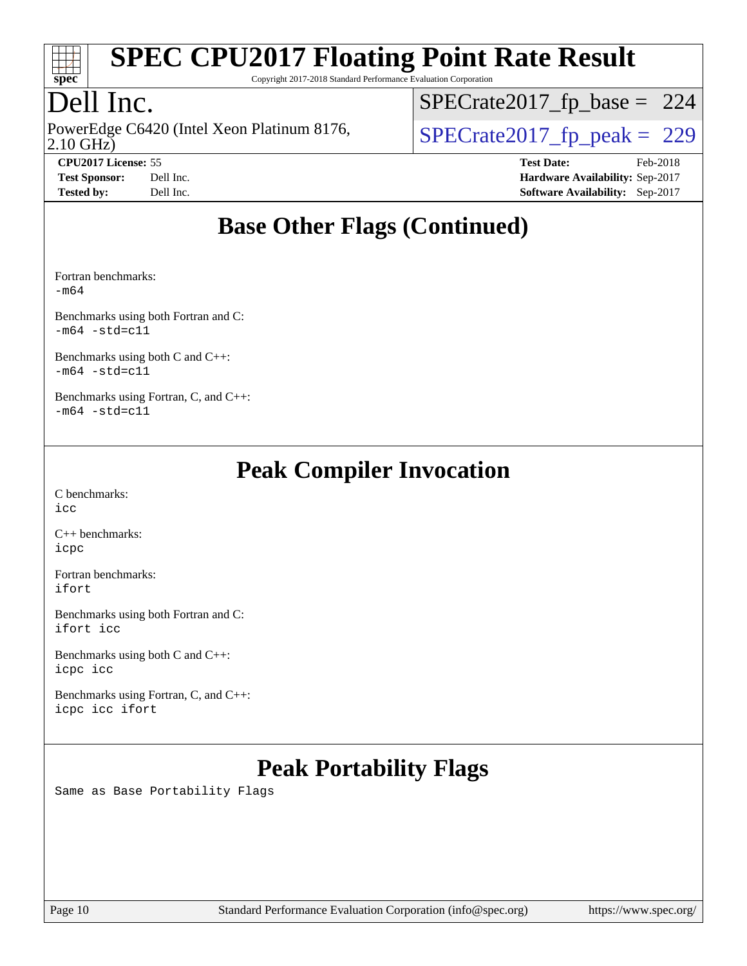

Copyright 2017-2018 Standard Performance Evaluation Corporation

# Dell Inc.

2.10 GHz) PowerEdge C6420 (Intel Xeon Platinum 8176,  $\vert$  [SPECrate2017\\_fp\\_peak =](http://www.spec.org/auto/cpu2017/Docs/result-fields.html#SPECrate2017fppeak) 229

[SPECrate2017\\_fp\\_base =](http://www.spec.org/auto/cpu2017/Docs/result-fields.html#SPECrate2017fpbase) 224

**[CPU2017 License:](http://www.spec.org/auto/cpu2017/Docs/result-fields.html#CPU2017License)** 55 **[Test Date:](http://www.spec.org/auto/cpu2017/Docs/result-fields.html#TestDate)** Feb-2018 **[Test Sponsor:](http://www.spec.org/auto/cpu2017/Docs/result-fields.html#TestSponsor)** Dell Inc. **[Hardware Availability:](http://www.spec.org/auto/cpu2017/Docs/result-fields.html#HardwareAvailability)** Sep-2017 **[Tested by:](http://www.spec.org/auto/cpu2017/Docs/result-fields.html#Testedby)** Dell Inc. **[Software Availability:](http://www.spec.org/auto/cpu2017/Docs/result-fields.html#SoftwareAvailability)** Sep-2017

## **[Base Other Flags \(Continued\)](http://www.spec.org/auto/cpu2017/Docs/result-fields.html#BaseOtherFlags)**

[Fortran benchmarks](http://www.spec.org/auto/cpu2017/Docs/result-fields.html#Fortranbenchmarks): [-m64](http://www.spec.org/cpu2017/results/res2018q1/cpu2017-20180305-03820.flags.html#user_FCbase_intel_intel64_18.0_af43caccfc8ded86e7699f2159af6efc7655f51387b94da716254467f3c01020a5059329e2569e4053f409e7c9202a7efc638f7a6d1ffb3f52dea4a3e31d82ab)

[Benchmarks using both Fortran and C](http://www.spec.org/auto/cpu2017/Docs/result-fields.html#BenchmarksusingbothFortranandC):  $-m64 - std = c11$  $-m64 - std = c11$ 

[Benchmarks using both C and C++](http://www.spec.org/auto/cpu2017/Docs/result-fields.html#BenchmarksusingbothCandCXX):  $-m64 - std= c11$  $-m64 - std= c11$ 

[Benchmarks using Fortran, C, and C++:](http://www.spec.org/auto/cpu2017/Docs/result-fields.html#BenchmarksusingFortranCandCXX)  $-m64 - std = c11$  $-m64 - std = c11$ 

### **[Peak Compiler Invocation](http://www.spec.org/auto/cpu2017/Docs/result-fields.html#PeakCompilerInvocation)**

[C benchmarks](http://www.spec.org/auto/cpu2017/Docs/result-fields.html#Cbenchmarks): [icc](http://www.spec.org/cpu2017/results/res2018q1/cpu2017-20180305-03820.flags.html#user_CCpeak_intel_icc_18.0_66fc1ee009f7361af1fbd72ca7dcefbb700085f36577c54f309893dd4ec40d12360134090235512931783d35fd58c0460139e722d5067c5574d8eaf2b3e37e92)

[C++ benchmarks:](http://www.spec.org/auto/cpu2017/Docs/result-fields.html#CXXbenchmarks) [icpc](http://www.spec.org/cpu2017/results/res2018q1/cpu2017-20180305-03820.flags.html#user_CXXpeak_intel_icpc_18.0_c510b6838c7f56d33e37e94d029a35b4a7bccf4766a728ee175e80a419847e808290a9b78be685c44ab727ea267ec2f070ec5dc83b407c0218cded6866a35d07)

[Fortran benchmarks](http://www.spec.org/auto/cpu2017/Docs/result-fields.html#Fortranbenchmarks): [ifort](http://www.spec.org/cpu2017/results/res2018q1/cpu2017-20180305-03820.flags.html#user_FCpeak_intel_ifort_18.0_8111460550e3ca792625aed983ce982f94888b8b503583aa7ba2b8303487b4d8a21a13e7191a45c5fd58ff318f48f9492884d4413fa793fd88dd292cad7027ca)

[Benchmarks using both Fortran and C](http://www.spec.org/auto/cpu2017/Docs/result-fields.html#BenchmarksusingbothFortranandC): [ifort](http://www.spec.org/cpu2017/results/res2018q1/cpu2017-20180305-03820.flags.html#user_CC_FCpeak_intel_ifort_18.0_8111460550e3ca792625aed983ce982f94888b8b503583aa7ba2b8303487b4d8a21a13e7191a45c5fd58ff318f48f9492884d4413fa793fd88dd292cad7027ca) [icc](http://www.spec.org/cpu2017/results/res2018q1/cpu2017-20180305-03820.flags.html#user_CC_FCpeak_intel_icc_18.0_66fc1ee009f7361af1fbd72ca7dcefbb700085f36577c54f309893dd4ec40d12360134090235512931783d35fd58c0460139e722d5067c5574d8eaf2b3e37e92)

[Benchmarks using both C and C++](http://www.spec.org/auto/cpu2017/Docs/result-fields.html#BenchmarksusingbothCandCXX): [icpc](http://www.spec.org/cpu2017/results/res2018q1/cpu2017-20180305-03820.flags.html#user_CC_CXXpeak_intel_icpc_18.0_c510b6838c7f56d33e37e94d029a35b4a7bccf4766a728ee175e80a419847e808290a9b78be685c44ab727ea267ec2f070ec5dc83b407c0218cded6866a35d07) [icc](http://www.spec.org/cpu2017/results/res2018q1/cpu2017-20180305-03820.flags.html#user_CC_CXXpeak_intel_icc_18.0_66fc1ee009f7361af1fbd72ca7dcefbb700085f36577c54f309893dd4ec40d12360134090235512931783d35fd58c0460139e722d5067c5574d8eaf2b3e37e92)

[Benchmarks using Fortran, C, and C++:](http://www.spec.org/auto/cpu2017/Docs/result-fields.html#BenchmarksusingFortranCandCXX) [icpc](http://www.spec.org/cpu2017/results/res2018q1/cpu2017-20180305-03820.flags.html#user_CC_CXX_FCpeak_intel_icpc_18.0_c510b6838c7f56d33e37e94d029a35b4a7bccf4766a728ee175e80a419847e808290a9b78be685c44ab727ea267ec2f070ec5dc83b407c0218cded6866a35d07) [icc](http://www.spec.org/cpu2017/results/res2018q1/cpu2017-20180305-03820.flags.html#user_CC_CXX_FCpeak_intel_icc_18.0_66fc1ee009f7361af1fbd72ca7dcefbb700085f36577c54f309893dd4ec40d12360134090235512931783d35fd58c0460139e722d5067c5574d8eaf2b3e37e92) [ifort](http://www.spec.org/cpu2017/results/res2018q1/cpu2017-20180305-03820.flags.html#user_CC_CXX_FCpeak_intel_ifort_18.0_8111460550e3ca792625aed983ce982f94888b8b503583aa7ba2b8303487b4d8a21a13e7191a45c5fd58ff318f48f9492884d4413fa793fd88dd292cad7027ca)

# **[Peak Portability Flags](http://www.spec.org/auto/cpu2017/Docs/result-fields.html#PeakPortabilityFlags)**

Same as Base Portability Flags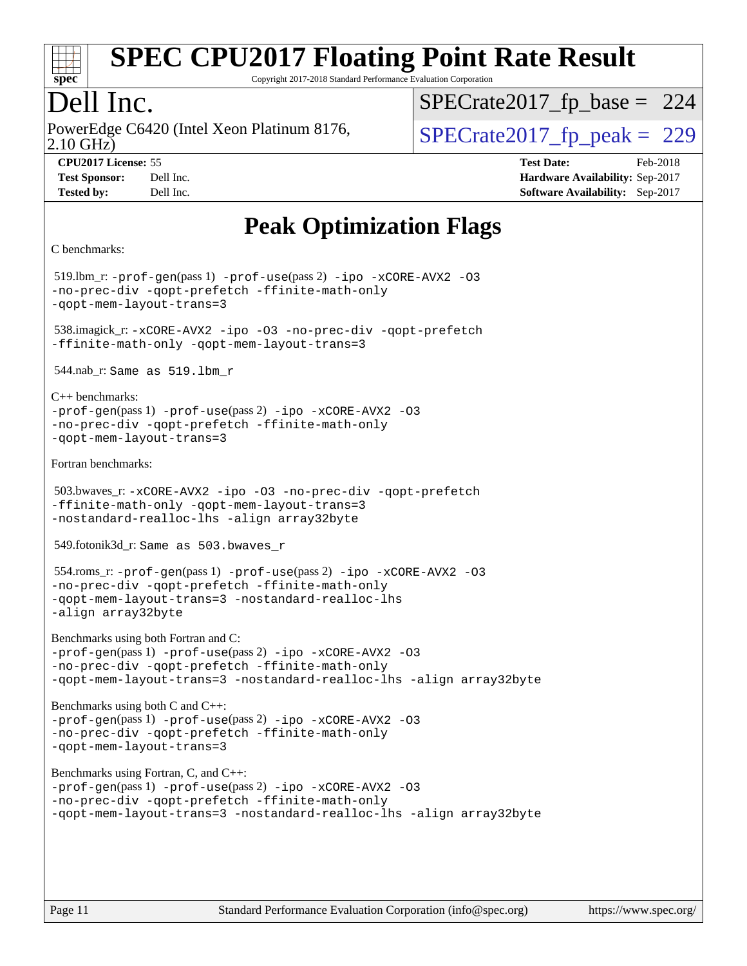

Copyright 2017-2018 Standard Performance Evaluation Corporation

## Dell Inc.

2.10 GHz) PowerEdge C6420 (Intel Xeon Platinum 8176,  $\vert$  [SPECrate2017\\_fp\\_peak =](http://www.spec.org/auto/cpu2017/Docs/result-fields.html#SPECrate2017fppeak) 229

[SPECrate2017\\_fp\\_base =](http://www.spec.org/auto/cpu2017/Docs/result-fields.html#SPECrate2017fpbase) 224

**[Tested by:](http://www.spec.org/auto/cpu2017/Docs/result-fields.html#Testedby)** Dell Inc. **[Software Availability:](http://www.spec.org/auto/cpu2017/Docs/result-fields.html#SoftwareAvailability)** Sep-2017

**[CPU2017 License:](http://www.spec.org/auto/cpu2017/Docs/result-fields.html#CPU2017License)** 55 **[Test Date:](http://www.spec.org/auto/cpu2017/Docs/result-fields.html#TestDate)** Feb-2018 **[Test Sponsor:](http://www.spec.org/auto/cpu2017/Docs/result-fields.html#TestSponsor)** Dell Inc. **[Hardware Availability:](http://www.spec.org/auto/cpu2017/Docs/result-fields.html#HardwareAvailability)** Sep-2017

# **[Peak Optimization Flags](http://www.spec.org/auto/cpu2017/Docs/result-fields.html#PeakOptimizationFlags)**

```
C benchmarks:
```

```
 519.lbm_r: -prof-gen(pass 1) -prof-use(pass 2) -ipo -xCORE-AVX2 -O3
-no-prec-div -qopt-prefetch -ffinite-math-only
-qopt-mem-layout-trans=3
 538.imagick_r: -xCORE-AVX2 -ipo -O3 -no-prec-div -qopt-prefetch
-ffinite-math-only -qopt-mem-layout-trans=3
 544.nab_r: Same as 519.lbm_r
C++ benchmarks: 
-prof-gen(pass 1) -prof-use(pass 2) -ipo -xCORE-AVX2 -O3
-no-prec-div -qopt-prefetch -ffinite-math-only
-qopt-mem-layout-trans=3
Fortran benchmarks: 
 503.bwaves_r: -xCORE-AVX2 -ipo -O3 -no-prec-div -qopt-prefetch
-ffinite-math-only -qopt-mem-layout-trans=3
-nostandard-realloc-lhs -align array32byte
 549.fotonik3d_r: Same as 503.bwaves_r
 554.roms_r: -prof-gen(pass 1) -prof-use(pass 2) -ipo -xCORE-AVX2 -O3
-no-prec-div -qopt-prefetch -ffinite-math-only
-qopt-mem-layout-trans=3 -nostandard-realloc-lhs
-align array32byte
Benchmarks using both Fortran and C: 
-prof-gen(pass 1) -prof-use(pass 2) -ipo -xCORE-AVX2 -O3
-no-prec-div -qopt-prefetch -ffinite-math-only
-qopt-mem-layout-trans=3 -nostandard-realloc-lhs -align array32byte
Benchmarks using both C and C++: 
-prof-gen(pass 1) -prof-use(pass 2) -ipo -xCORE-AVX2 -O3
-no-prec-div -qopt-prefetch -ffinite-math-only
-qopt-mem-layout-trans=3
Benchmarks using Fortran, C, and C++: 
-prof-gen(pass 1) -prof-use(pass 2) -ipo -xCORE-AVX2 -O3
-no-prec-div -qopt-prefetch -ffinite-math-only
-qopt-mem-layout-trans=3 -nostandard-realloc-lhs -align array32byte
```